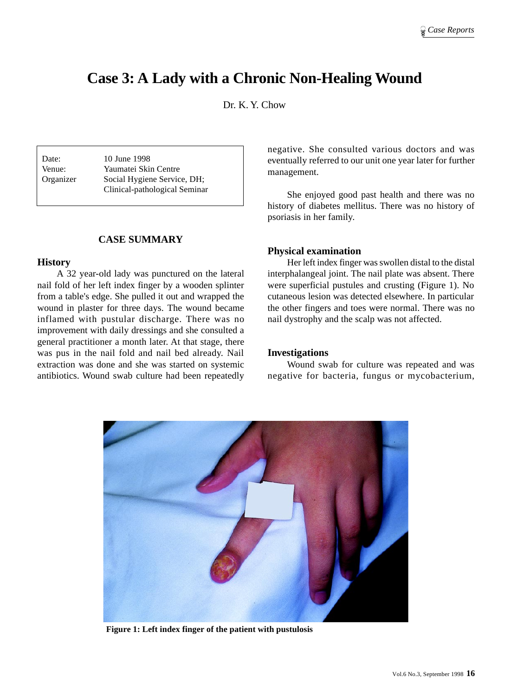# **Case 3: A Lady with a Chronic Non-Healing Wound**

Dr. K. Y. Chow

Date: 10 June 1998 Venue: Yaumatei Skin Centre Organizer Social Hygiene Service, DH; Clinical-pathological Seminar

### **CASE SUMMARY**

#### **History**

A 32 year-old lady was punctured on the lateral nail fold of her left index finger by a wooden splinter from a table's edge. She pulled it out and wrapped the wound in plaster for three days. The wound became inflamed with pustular discharge. There was no improvement with daily dressings and she consulted a general practitioner a month later. At that stage, there was pus in the nail fold and nail bed already. Nail extraction was done and she was started on systemic antibiotics. Wound swab culture had been repeatedly negative. She consulted various doctors and was eventually referred to our unit one year later for further management.

She enjoyed good past health and there was no history of diabetes mellitus. There was no history of psoriasis in her family.

#### **Physical examination**

Her left index finger was swollen distal to the distal interphalangeal joint. The nail plate was absent. There were superficial pustules and crusting (Figure 1). No cutaneous lesion was detected elsewhere. In particular the other fingers and toes were normal. There was no nail dystrophy and the scalp was not affected.

### **Investigations**

Wound swab for culture was repeated and was negative for bacteria, fungus or mycobacterium,



**Figure 1: Left index finger of the patient with pustulosis**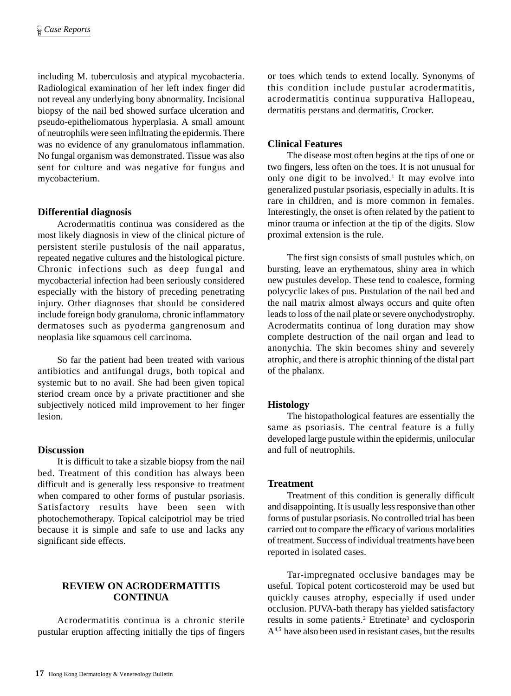including M. tuberculosis and atypical mycobacteria. Radiological examination of her left index finger did not reveal any underlying bony abnormality. Incisional biopsy of the nail bed showed surface ulceration and pseudo-epitheliomatous hyperplasia. A small amount of neutrophils were seen infiltrating the epidermis. There was no evidence of any granulomatous inflammation. No fungal organism was demonstrated. Tissue was also sent for culture and was negative for fungus and mycobacterium.

## **Differential diagnosis**

Acrodermatitis continua was considered as the most likely diagnosis in view of the clinical picture of persistent sterile pustulosis of the nail apparatus, repeated negative cultures and the histological picture. Chronic infections such as deep fungal and mycobacterial infection had been seriously considered especially with the history of preceding penetrating injury. Other diagnoses that should be considered include foreign body granuloma, chronic inflammatory dermatoses such as pyoderma gangrenosum and neoplasia like squamous cell carcinoma.

So far the patient had been treated with various antibiotics and antifungal drugs, both topical and systemic but to no avail. She had been given topical steriod cream once by a private practitioner and she subjectively noticed mild improvement to her finger lesion.

#### **Discussion**

It is difficult to take a sizable biopsy from the nail bed. Treatment of this condition has always been difficult and is generally less responsive to treatment when compared to other forms of pustular psoriasis. Satisfactory results have been seen with photochemotherapy. Topical calcipotriol may be tried because it is simple and safe to use and lacks any significant side effects.

## **REVIEW ON ACRODERMATITIS CONTINUA**

Acrodermatitis continua is a chronic sterile pustular eruption affecting initially the tips of fingers or toes which tends to extend locally. Synonyms of this condition include pustular acrodermatitis, acrodermatitis continua suppurativa Hallopeau, dermatitis perstans and dermatitis, Crocker.

## **Clinical Features**

The disease most often begins at the tips of one or two fingers, less often on the toes. It is not unusual for only one digit to be involved.<sup>1</sup> It may evolve into generalized pustular psoriasis, especially in adults. It is rare in children, and is more common in females. Interestingly, the onset is often related by the patient to minor trauma or infection at the tip of the digits. Slow proximal extension is the rule.

The first sign consists of small pustules which, on bursting, leave an erythematous, shiny area in which new pustules develop. These tend to coalesce, forming polycyclic lakes of pus. Pustulation of the nail bed and the nail matrix almost always occurs and quite often leads to loss of the nail plate or severe onychodystrophy. Acrodermatits continua of long duration may show complete destruction of the nail organ and lead to anonychia. The skin becomes shiny and severely atrophic, and there is atrophic thinning of the distal part of the phalanx.

## **Histology**

The histopathological features are essentially the same as psoriasis. The central feature is a fully developed large pustule within the epidermis, unilocular and full of neutrophils.

## **Treatment**

Treatment of this condition is generally difficult and disappointing. It is usually less responsive than other forms of pustular psoriasis. No controlled trial has been carried out to compare the efficacy of various modalities of treatment. Success of individual treatments have been reported in isolated cases.

Tar-impregnated occlusive bandages may be useful. Topical potent corticosteroid may be used but quickly causes atrophy, especially if used under occlusion. PUVA-bath therapy has yielded satisfactory results in some patients.<sup>2</sup> Etretinate<sup>3</sup> and cyclosporin A<sup>4,5</sup> have also been used in resistant cases, but the results